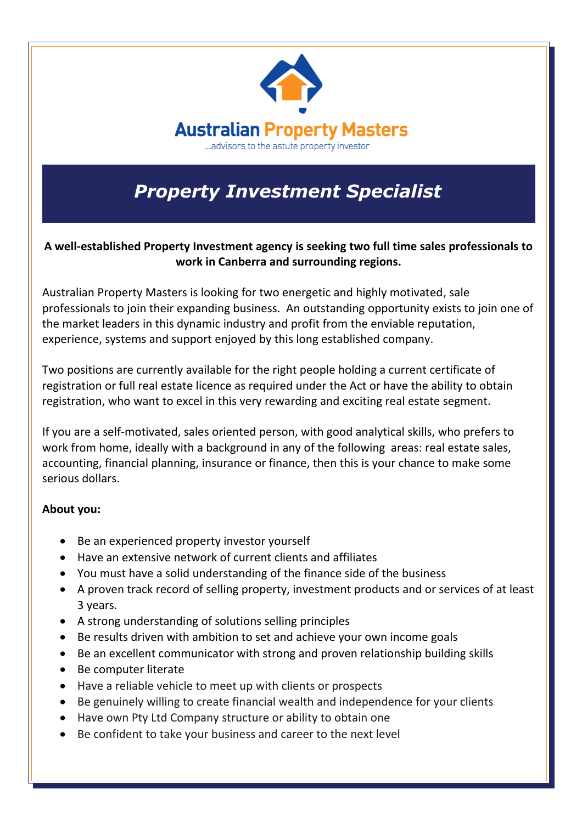

## *Property Investment Specialist*

**A well-established Property Investment agency is seeking two full time sales professionals to work in Canberra and surrounding regions.**

Australian Property Masters is looking for two energetic and highly motivated, sale professionals to join their expanding business. An outstanding opportunity exists to join one of the market leaders in this dynamic industry and profit from the enviable reputation, experience, systems and support enjoyed by this long established company.

Two positions are currently available for the right people holding a current certificate of registration or full real estate licence as required under the Act or have the ability to obtain registration, who want to excel in this very rewarding and exciting real estate segment.

If you are a self-motivated, sales oriented person, with good analytical skills, who prefers to work from home, ideally with a background in any of the following areas: real estate sales, accounting, financial planning, insurance or finance, then this is your chance to make some serious dollars.

## **About you:**

- Be an experienced property investor yourself
- Have an extensive network of current clients and affiliates
- You must have a solid understanding of the finance side of the business
- A proven track record of selling property, investment products and or services of at least 3 years.
- A strong understanding of solutions selling principles
- Be results driven with ambition to set and achieve your own income goals
- Be an excellent communicator with strong and proven relationship building skills
- Be computer literate
- Have a reliable vehicle to meet up with clients or prospects
- Be genuinely willing to create financial wealth and independence for your clients
- Have own Pty Ltd Company structure or ability to obtain one
- Be confident to take your business and career to the next level